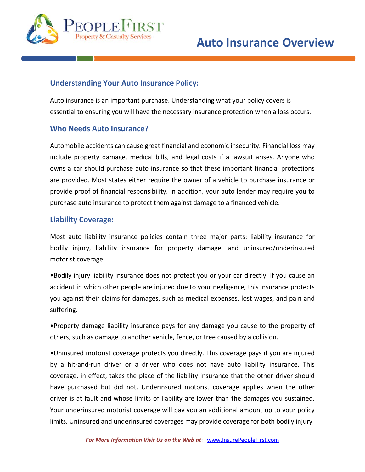

# **Understanding Your Auto Insurance Policy:**

Auto insurance is an important purchase. Understanding what your policy covers is essential to ensuring you will have the necessary insurance protection when a loss occurs.

## **Who Needs Auto Insurance?**

Automobile accidents can cause great financial and economic insecurity. Financial loss may include property damage, medical bills, and legal costs if a lawsuit arises. Anyone who owns a car should purchase auto insurance so that these important financial protections are provided. Most states either require the owner of a vehicle to purchase insurance or provide proof of financial responsibility. In addition, your auto lender may require you to purchase auto insurance to protect them against damage to a financed vehicle.

## **Liability Coverage:**

Most auto liability insurance policies contain three major parts: liability insurance for bodily injury, liability insurance for property damage, and uninsured/underinsured motorist coverage.

•Bodily injury liability insurance does not protect you or your car directly. If you cause an accident in which other people are injured due to your negligence, this insurance protects you against their claims for damages, such as medical expenses, lost wages, and pain and suffering.

•Property damage liability insurance pays for any damage you cause to the property of others, such as damage to another vehicle, fence, or tree caused by a collision.

•Uninsured motorist coverage protects you directly. This coverage pays if you are injured by a hit-and-run driver or a driver who does not have auto liability insurance. This coverage, in effect, takes the place of the liability insurance that the other driver should have purchased but did not. Underinsured motorist coverage applies when the other driver is at fault and whose limits of liability are lower than the damages you sustained. Your underinsured motorist coverage will pay you an additional amount up to your policy limits. Uninsured and underinsured coverages may provide coverage for both bodily injury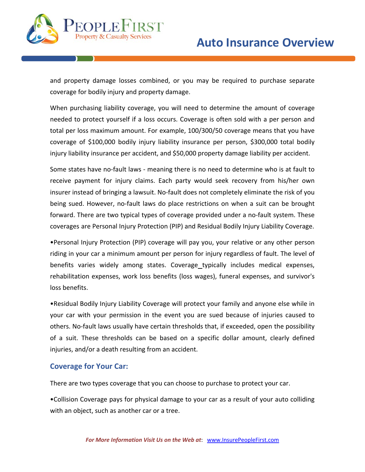

and property damage losses combined, or you may be required to purchase separate coverage for bodily injury and property damage.

When purchasing liability coverage, you will need to determine the amount of coverage needed to protect yourself if a loss occurs. Coverage is often sold with a per person and total per loss maximum amount. For example, 100/300/50 coverage means that you have coverage of \$100,000 bodily injury liability insurance per person, \$300,000 total bodily injury liability insurance per accident, and \$50,000 property damage liability per accident.

Some states have no‐fault laws ‐ meaning there is no need to determine who is at fault to receive payment for injury claims. Each party would seek recovery from his/her own insurer instead of bringing a lawsuit. No‐fault does not completely eliminate the risk of you being sued. However, no-fault laws do place restrictions on when a suit can be brought forward. There are two typical types of coverage provided under a no‐fault system. These coverages are Personal Injury Protection (PIP) and Residual Bodily Injury Liability Coverage.

•Personal Injury Protection (PIP) coverage will pay you, your relative or any other person riding in your car a minimum amount per person for injury regardless of fault. The level of benefits varies widely among states. Coverage typically includes medical expenses, rehabilitation expenses, work loss benefits (loss wages), funeral expenses, and survivor's loss benefits.

•Residual Bodily Injury Liability Coverage will protect your family and anyone else while in your car with your permission in the event you are sued because of injuries caused to others. No-fault laws usually have certain thresholds that, if exceeded, open the possibility of a suit. These thresholds can be based on a specific dollar amount, clearly defined injuries, and/or a death resulting from an accident.

### **Coverage for Your Car:**

There are two types coverage that you can choose to purchase to protect your car.

•Collision Coverage pays for physical damage to your car as a result of your auto colliding with an object, such as another car or a tree.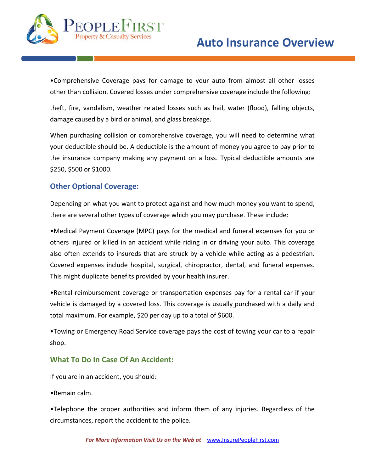

•Comprehensive Coverage pays for damage to your auto from almost all other losses other than collision. Covered losses under comprehensive coverage include the following:

theft, fire, vandalism, weather related losses such as hail, water (flood), falling objects, damage caused by a bird or animal, and glass breakage.

When purchasing collision or comprehensive coverage, you will need to determine what your deductible should be. A deductible is the amount of money you agree to pay prior to the insurance company making any payment on a loss. Typical deductible amounts are \$250, \$500 or \$1000.

## **Other Optional Coverage:**

Depending on what you want to protect against and how much money you want to spend, there are several other types of coverage which you may purchase. These include:

•Medical Payment Coverage (MPC) pays for the medical and funeral expenses for you or others injured or killed in an accident while riding in or driving your auto. This coverage also often extends to insureds that are struck by a vehicle while acting as a pedestrian. Covered expenses include hospital, surgical, chiropractor, dental, and funeral expenses. This might duplicate benefits provided by your health insurer.

•Rental reimbursement coverage or transportation expenses pay for a rental car if your vehicle is damaged by a covered loss. This coverage is usually purchased with a daily and total maximum. For example, \$20 per day up to a total of \$600.

•Towing or Emergency Road Service coverage pays the cost of towing your car to a repair shop.

### **What To Do In Case Of An Accident:**

If you are in an accident, you should:

•Remain calm.

•Telephone the proper authorities and inform them of any injuries. Regardless of the circumstances, report the accident to the police.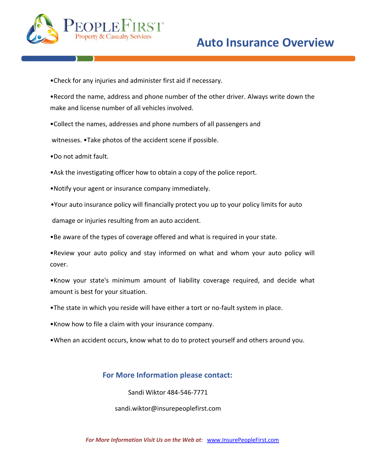

•Check for any injuries and administer first aid if necessary.

•Record the name, address and phone number of the other driver. Always write down the make and license number of all vehicles involved.

•Collect the names, addresses and phone numbers of all passengers and

witnesses. •Take photos of the accident scene if possible.

- •Do not admit fault.
- •Ask the investigating officer how to obtain a copy of the police report.
- •Notify your agent or insurance company immediately.
- •Your auto insurance policy will financially protect you up to your policy limits for auto

damage or injuries resulting from an auto accident.

•Be aware of the types of coverage offered and what is required in your state.

•Review your auto policy and stay informed on what and whom your auto policy will cover.

•Know your state's minimum amount of liability coverage required, and decide what amount is best for your situation.

- •The state in which you reside will have either a tort or no‐fault system in place.
- •Know how to file a claim with your insurance company.
- •When an accident occurs, know what to do to protect yourself and others around you.

## **For More Information please contact:**

Sandi Wiktor 484‐546‐7771

sandi.wiktor@insurepeoplefirst.com

*For More Information Visit Us on the Web at*: www.InsurePeopleFirst.com